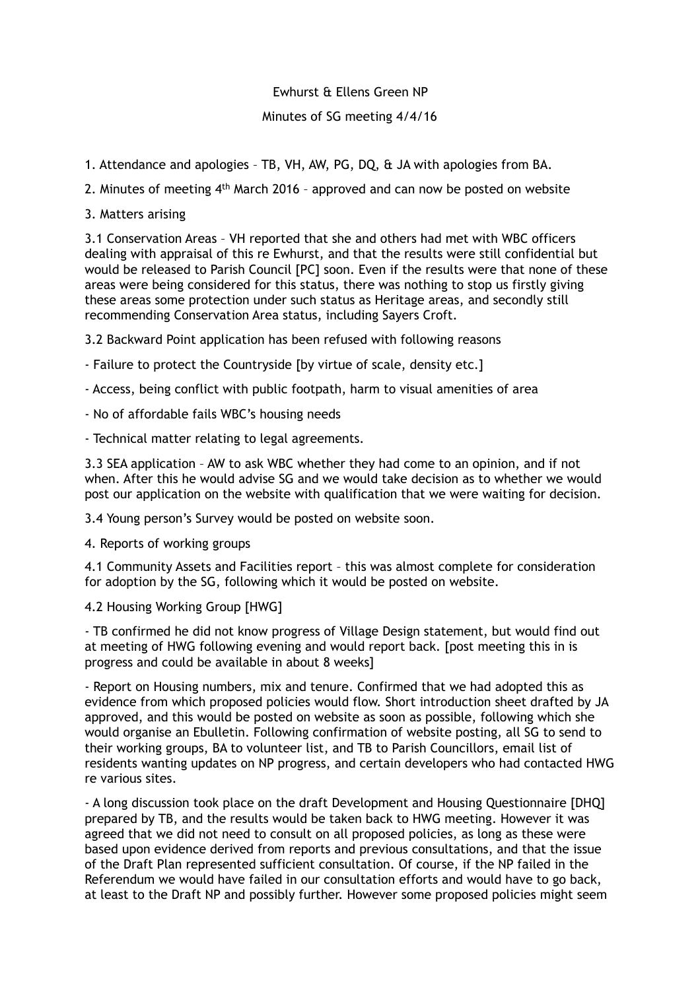## Ewhurst & Ellens Green NP

## Minutes of SG meeting 4/4/16

- 1. Attendance and apologies TB, VH, AW, PG, DQ, & JA with apologies from BA.
- 2. Minutes of meeting 4th March 2016 approved and can now be posted on website
- 3. Matters arising

3.1 Conservation Areas – VH reported that she and others had met with WBC officers dealing with appraisal of this re Ewhurst, and that the results were still confidential but would be released to Parish Council [PC] soon. Even if the results were that none of these areas were being considered for this status, there was nothing to stop us firstly giving these areas some protection under such status as Heritage areas, and secondly still recommending Conservation Area status, including Sayers Croft.

3.2 Backward Point application has been refused with following reasons

- Failure to protect the Countryside [by virtue of scale, density etc.]
- Access, being conflict with public footpath, harm to visual amenities of area
- No of affordable fails WBC's housing needs

- Technical matter relating to legal agreements.

3.3 SEA application – AW to ask WBC whether they had come to an opinion, and if not when. After this he would advise SG and we would take decision as to whether we would post our application on the website with qualification that we were waiting for decision.

3.4 Young person's Survey would be posted on website soon.

4. Reports of working groups

4.1 Community Assets and Facilities report – this was almost complete for consideration for adoption by the SG, following which it would be posted on website.

## 4.2 Housing Working Group [HWG]

- TB confirmed he did not know progress of Village Design statement, but would find out at meeting of HWG following evening and would report back. [post meeting this in is progress and could be available in about 8 weeks]

- Report on Housing numbers, mix and tenure. Confirmed that we had adopted this as evidence from which proposed policies would flow. Short introduction sheet drafted by JA approved, and this would be posted on website as soon as possible, following which she would organise an Ebulletin. Following confirmation of website posting, all SG to send to their working groups, BA to volunteer list, and TB to Parish Councillors, email list of residents wanting updates on NP progress, and certain developers who had contacted HWG re various sites.

- A long discussion took place on the draft Development and Housing Questionnaire [DHQ] prepared by TB, and the results would be taken back to HWG meeting. However it was agreed that we did not need to consult on all proposed policies, as long as these were based upon evidence derived from reports and previous consultations, and that the issue of the Draft Plan represented sufficient consultation. Of course, if the NP failed in the Referendum we would have failed in our consultation efforts and would have to go back, at least to the Draft NP and possibly further. However some proposed policies might seem